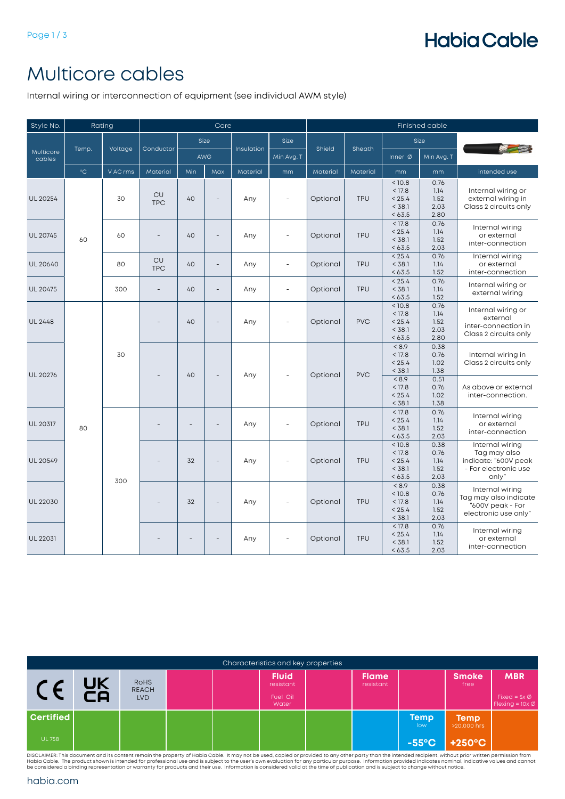# **Habia Cable**

### Multicore cables

Internal wiring or interconnection of equipment (see individual AWM style)

| Style No.           | Rating            |          |                         |     | Core                     |                          |             | Finished cable |            |                                                |                                              |                                                                                          |                                             |
|---------------------|-------------------|----------|-------------------------|-----|--------------------------|--------------------------|-------------|----------------|------------|------------------------------------------------|----------------------------------------------|------------------------------------------------------------------------------------------|---------------------------------------------|
|                     |                   |          |                         |     | Size                     |                          | <b>Size</b> |                |            |                                                | Size                                         |                                                                                          |                                             |
| Multicore<br>cables | Temp.             | Voltage  | Conductor               | AWG |                          | Insulation               | Min Avg. T  | Shield         | Sheath     | Inner $\varnothing$                            | Min Avg. T                                   |                                                                                          |                                             |
|                     | $^{\circ}{\rm C}$ | V AC rms | Material                | Min | Max                      | Material                 | mm          | Material       | Material   | mm                                             | mm                                           | intended use                                                                             |                                             |
| UL 20254            |                   | 30       | <b>CU</b><br><b>TPC</b> | 40  | $\overline{\phantom{a}}$ | Any                      | $\sim$      | Optional       | <b>TPU</b> | < 10.8<br>< 17.8<br>< 25.4<br>< 38.1<br>< 63.5 | 0.76<br>1.14<br>1.52<br>2.03<br>2.80         | Internal wiring or<br>external wiring in<br>Class 2 circuits only                        |                                             |
| <b>UL 20745</b>     | 60                | 60       |                         | 40  | $\bar{a}$                | Any                      | ÷,          | Optional       | <b>TPU</b> | < 17.8<br>< 25.4<br>< 38.1<br>< 63.5           | 0.76<br>1.14<br>1.52<br>2.03                 | Internal wiring<br>or external<br>inter-connection                                       |                                             |
| UL 20640            |                   | 80       | <b>CU</b><br><b>TPC</b> | 40  | $\blacksquare$           | Any                      | $\sim$      | Optional       | <b>TPU</b> | < 25.4<br>< 38.1<br>< 63.5                     | 0.76<br>1.14<br>1.52                         | Internal wiring<br>or external<br>inter-connection                                       |                                             |
| UL 20475            |                   | 300      | $\overline{a}$          | 40  | $\overline{\phantom{a}}$ | Any                      | $\sim$      | Optional       | <b>TPU</b> | < 25.4<br>< 38.1<br>< 63.5                     | 0.76<br>1.14<br>1.52                         | Internal wiring or<br>external wiring                                                    |                                             |
| <b>UL 2448</b>      |                   |          |                         | 40  | $\overline{\phantom{a}}$ | Any                      | ÷,          | Optional       | <b>PVC</b> | < 10.8<br>< 17.8<br>< 25.4<br>< 38.1<br>< 63.5 | 0.76<br>1.14<br>1.52<br>2.03<br>2.80         | Internal wiring or<br>external<br>inter-connection in<br>Class 2 circuits only           |                                             |
| UL 20276            |                   | 30       |                         |     | 40                       | $\overline{\phantom{a}}$ | Any         |                | Optional   | <b>PVC</b>                                     | < 8.9<br>< 17.8<br>< 25.4<br>< 38.1<br>< 8.9 | 0.38<br>0.76<br>1.02<br>1.38<br>0.51                                                     | Internal wiring in<br>Class 2 circuits only |
|                     |                   |          |                         |     |                          |                          |             |                |            | < 17.8<br>< 25.4<br>< 38.1                     | 0.76<br>1.02<br>1.38                         | As above or external<br>inter-connection.                                                |                                             |
| <b>UL 20317</b>     | 80                |          |                         | L,  | $\overline{a}$           | Any                      | $\sim$      | Optional       | <b>TPU</b> | < 17.8<br>< 25.4<br>< 38.1<br>< 63.5           | 0.76<br>1.14<br>1.52<br>2.03                 | Internal wiring<br>or external<br>inter-connection                                       |                                             |
| <b>UL 20549</b>     |                   |          |                         | 32  | $\qquad \qquad -$        | Any                      |             | Optional       | <b>TPU</b> | < 10.8<br>< 17.8<br>< 25.4<br>< 38.1<br>< 63.5 | 0.38<br>0.76<br>1.14<br>1.52<br>2.03         | Internal wiring<br>Tag may also<br>indicate: "600V peak<br>- For electronic use<br>only" |                                             |
| UL 22030            |                   | 300      |                         | 32  | $\overline{\phantom{a}}$ | Any                      | $\sim$      | Optional       | <b>TPU</b> | < 8.9<br>< 10.8<br>< 17.8<br>< 25.4<br>< 38.1  | 0.38<br>0.76<br>1.14<br>1.52<br>2.03         | Internal wiring<br>Tag may also indicate<br>"600V peak - For<br>electronic use only"     |                                             |
| <b>UL 22031</b>     |                   |          |                         |     |                          | Any                      |             | Optional       | TPU        | < 17.8<br>< 25.4<br>< 38.1<br>< 63.5           | 0.76<br>1.14<br>1.52<br>2.03                 | Internal wiring<br>or external<br>inter-connection                                       |                                             |

| Characteristics and key properties |          |                                           |  |  |                                                |  |                           |                    |                            |                                                                   |  |  |  |
|------------------------------------|----------|-------------------------------------------|--|--|------------------------------------------------|--|---------------------------|--------------------|----------------------------|-------------------------------------------------------------------|--|--|--|
|                                    | UK<br>CA | <b>ROHS</b><br><b>REACH</b><br><b>LVD</b> |  |  | <b>Fluid</b><br>resistant<br>Fuel Oil<br>Water |  | <b>Flame</b><br>resistant |                    | <b>Smoke</b><br>free       | <b>MBR</b><br>Fixed = $5x \emptyset$<br>Flexing = $10x \emptyset$ |  |  |  |
| <b>Certified</b>                   |          |                                           |  |  |                                                |  |                           | <b>Temp</b><br>low | <b>Temp</b><br>>20,000 hrs |                                                                   |  |  |  |
| <b>UL 758</b>                      |          |                                           |  |  |                                                |  |                           | $-55^{\circ}$ C    | $+250^{\circ}$ C           |                                                                   |  |  |  |

DISCLAIMER: This document and its content remain the property of Habia Cable. It may not be used, copied or provided to any other party than the intended recipient, without prior written permission from<br>Habia Cable. The pr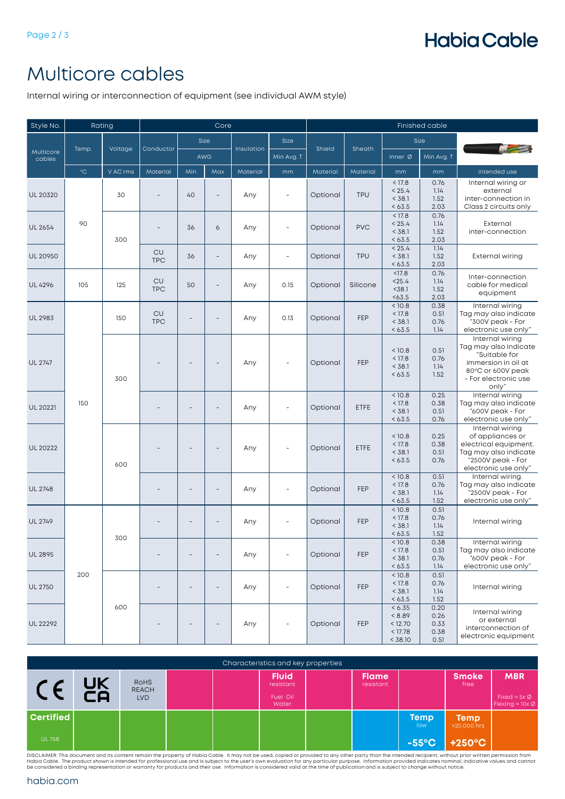## **Habia Cable**

#### Multicore cables

Internal wiring or interconnection of equipment (see individual AWM style)

| Style No.           | Rating            |          |                         |                          | Core                     |            |                          | <b>Finished cable</b> |            |                                                   |                                      |                                                                                                                                    |                                                                                                                                        |
|---------------------|-------------------|----------|-------------------------|--------------------------|--------------------------|------------|--------------------------|-----------------------|------------|---------------------------------------------------|--------------------------------------|------------------------------------------------------------------------------------------------------------------------------------|----------------------------------------------------------------------------------------------------------------------------------------|
|                     |                   |          |                         |                          | Size                     |            | Size                     |                       |            |                                                   | Size                                 |                                                                                                                                    |                                                                                                                                        |
| Multicore<br>cables | Temp.             | Voltage  | Conductor               | <b>AWG</b>               |                          | Insulation | Min Avg. T               | Shield                | Sheath     | Inner $\emptyset$                                 | Min Avg. T                           |                                                                                                                                    |                                                                                                                                        |
|                     | $^{\circ}{\rm C}$ | V AC rms | Material                | Min                      | Max                      | Material   | mm                       | Material              | Material   | mm                                                | mm                                   | intended use                                                                                                                       |                                                                                                                                        |
| UL 20320            |                   | 30       |                         | 40                       |                          | Any        | L,                       | Optional              | <b>TPU</b> | < 17.8<br>< 25.4<br>< 38.1<br>< 63.5              | 0.76<br>1.14<br>1.52<br>2.03         | Internal wiring or<br>external<br>inter-connection in<br>Class 2 circuits only                                                     |                                                                                                                                        |
| UL 2654             | 90                | 300      |                         | 36                       | 6                        | Any        | $\overline{\phantom{a}}$ | Optional              | <b>PVC</b> | < 17.8<br>< 25.4<br>< 38.1<br>< 63.5              | 0.76<br>1.14<br>1.52<br>2.03         | External<br>inter-connection                                                                                                       |                                                                                                                                        |
| UL 20950            |                   |          | CU<br><b>TPC</b>        | 36                       | $\overline{\phantom{m}}$ | Any        | $\overline{\phantom{a}}$ | Optional              | <b>TPU</b> | < 25.4<br>< 38.1<br>< 63.5                        | 1.14<br>1.52<br>2.03                 | <b>External wiring</b>                                                                                                             |                                                                                                                                        |
| <b>UL 4296</b>      | 105               | 125      | CU<br><b>TPC</b>        | 50                       | $\overline{\phantom{m}}$ | Any        | 0.15                     | Optional              | Silicone   | < 17.8<br>< 25.4<br>$38.1$<br>< 63.5              | 0.76<br>1.14<br>1.52<br>2.03         | Inter-connection<br>cable for medical<br>equipment                                                                                 |                                                                                                                                        |
| UL 2983             |                   | 150      | <b>CU</b><br><b>TPC</b> |                          |                          | Any        | 0.13                     | Optional              | FEP        | < 10.8<br>< 17.8<br>< 38.1<br>< 63.5              | 0.38<br>0.51<br>0.76<br>1.14         | Internal wiring<br>Tag may also indicate<br>"300V peak - For<br>electronic use only"                                               |                                                                                                                                        |
| <b>UL 2747</b>      |                   |          | 300                     |                          |                          |            | Any                      |                       | Optional   | FEP                                               | < 10.8<br>< 17.8<br>< 38.1<br>< 63.5 | 0.51<br>0.76<br>1.14<br>1.52                                                                                                       | Internal wiring<br>Tag may also indicate<br>"Suitable for<br>immersion in oil at<br>80°C or 600V peak<br>- For electronic use<br>only" |
| <b>UL 20221</b>     | 150               |          |                         |                          |                          |            | Any                      | $\overline{a}$        | Optional   | ETFE                                              | < 10.8<br>< 17.8<br>< 38.1<br>< 63.5 | 0.25<br>0.38<br>0.51<br>0.76                                                                                                       | Internal wiring<br>Tag may also indicate<br>"600V peak - For<br>electronic use only"                                                   |
| UL 20222            |                   | 600      |                         |                          |                          | Any        |                          | Optional              | ETFE       | < 10.8<br>< 17.8<br>< 38.1<br>< 63.5              | 0.25<br>0.38<br>0.51<br>0.76         | Internal wiring<br>of appliances or<br>electrical equipment.<br>Tag may also indicate<br>"2500V peak - For<br>electronic use only" |                                                                                                                                        |
| <b>UL 2748</b>      |                   |          |                         | $\overline{\phantom{a}}$ | $\overline{\phantom{m}}$ | Any        | $\overline{\phantom{0}}$ | Optional              | FEP        | < 10.8<br>< 17.8<br>< 38.1<br>< 63.5              | 0.51<br>0.76<br>1.14<br>1.52         | Internal wiring.<br>Tag may also indicate<br>"2500V peak - For<br>electronic use only"                                             |                                                                                                                                        |
| UL 2749             |                   | 300      |                         |                          |                          | Any        |                          | Optional              | FEP        | < 10.8<br>< 17.8<br>< 38.1<br>< 63.5              | 0.51<br>0.76<br>1.14<br>1.52         | Internal wiring                                                                                                                    |                                                                                                                                        |
| <b>UL 2895</b>      |                   |          |                         | $\qquad \qquad -$        | $\overline{a}$           | Any        | $\overline{\phantom{a}}$ | Optional              | FEP        | < 10.8<br>< 17.8<br>< 38.1<br>< 63.5              | 0.38<br>0.51<br>0.76<br>1.14         | Internal wiring<br>Tag may also indicate<br>"600V peak - For<br>electronic use only"                                               |                                                                                                                                        |
| <b>UL 2750</b>      | 200               |          |                         | $\qquad \qquad -$        | $\overline{\phantom{m}}$ | Any        | $\overline{\phantom{a}}$ | Optional              | FEP        | < 10.8<br>< 17.8<br>< 38.1<br>< 63.5              | 0.51<br>0.76<br>1.14<br>1.52         | Internal wiring                                                                                                                    |                                                                                                                                        |
| UL 22292            |                   | 600      |                         |                          |                          | Any        |                          | Optional              | FEP        | < 6.35<br>< 8.89<br>< 12.70<br>< 17.78<br>< 38.10 | 0.20<br>0.26<br>0.33<br>0.38<br>0.51 | Internal wiring<br>or external<br>interconnection of<br>electronic equipment                                                       |                                                                                                                                        |

| Characteristics and key properties |          |                                           |  |  |                                                |  |                           |                     |                            |                                                                   |  |  |  |
|------------------------------------|----------|-------------------------------------------|--|--|------------------------------------------------|--|---------------------------|---------------------|----------------------------|-------------------------------------------------------------------|--|--|--|
| C E                                | UK<br>CA | <b>ROHS</b><br><b>REACH</b><br><b>LVD</b> |  |  | <b>Fluid</b><br>resistant<br>Fuel Oil<br>Water |  | <b>Flame</b><br>resistant |                     | <b>Smoke</b><br>free       | <b>MBR</b><br>Fixed = $5x \emptyset$<br>Flexing = $10x \emptyset$ |  |  |  |
| Certified                          |          |                                           |  |  |                                                |  |                           | <b>Temp</b><br>low. | <b>Temp</b><br>>20,000 hrs |                                                                   |  |  |  |
| <b>UL 758</b>                      |          |                                           |  |  |                                                |  |                           | $-55^{\circ}$ C     | $+250^{\circ}$ C           |                                                                   |  |  |  |

DISCLAIMER: This document and its content remain the property of Habia Cable. It may not be used, copied or provided to any other party than the intended recipient, without prior written permission from<br>Habia Cable. The pr